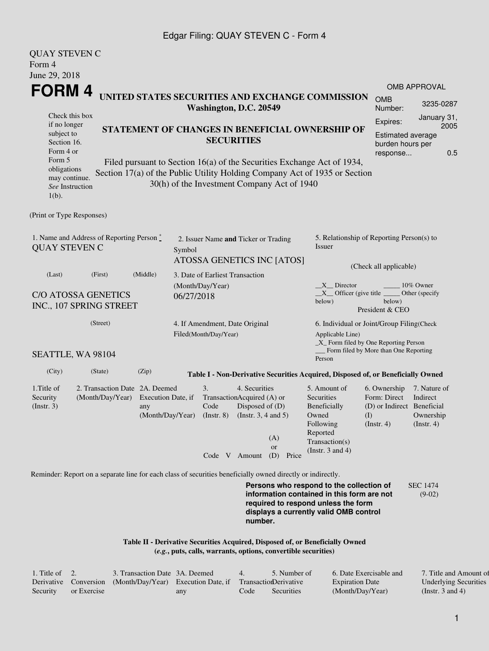### Edgar Filing: QUAY STEVEN C - Form 4

QUAY STEVEN C

| QUAI SIEVEN C<br>Form 4                                                                                     |                                                                                                                                                                                             |                                               |                                                                   |                                |                                                                                                             |                                             |                                                                                                                                                                                                             |                                                                                       |                                                           |  |
|-------------------------------------------------------------------------------------------------------------|---------------------------------------------------------------------------------------------------------------------------------------------------------------------------------------------|-----------------------------------------------|-------------------------------------------------------------------|--------------------------------|-------------------------------------------------------------------------------------------------------------|---------------------------------------------|-------------------------------------------------------------------------------------------------------------------------------------------------------------------------------------------------------------|---------------------------------------------------------------------------------------|-----------------------------------------------------------|--|
| June 29, 2018                                                                                               |                                                                                                                                                                                             |                                               |                                                                   |                                |                                                                                                             |                                             |                                                                                                                                                                                                             |                                                                                       |                                                           |  |
| FORM 4                                                                                                      |                                                                                                                                                                                             |                                               |                                                                   |                                |                                                                                                             |                                             | UNITED STATES SECURITIES AND EXCHANGE COMMISSION                                                                                                                                                            | <b>OMB</b><br>Number:                                                                 | <b>OMB APPROVAL</b><br>3235-0287                          |  |
| if no longer<br>subject to<br>Section 16.<br>Form 4 or<br>Form 5<br>obligations                             | Washington, D.C. 20549<br>Check this box<br>STATEMENT OF CHANGES IN BENEFICIAL OWNERSHIP OF<br><b>SECURITIES</b><br>Filed pursuant to Section 16(a) of the Securities Exchange Act of 1934, |                                               |                                                                   |                                |                                                                                                             |                                             |                                                                                                                                                                                                             | Expires:<br><b>Estimated average</b><br>burden hours per<br>response                  | January 31,<br>2005<br>0.5                                |  |
| may continue.<br>See Instruction<br>$1(b)$ .                                                                |                                                                                                                                                                                             |                                               |                                                                   |                                |                                                                                                             | 30(h) of the Investment Company Act of 1940 | Section 17(a) of the Public Utility Holding Company Act of 1935 or Section                                                                                                                                  |                                                                                       |                                                           |  |
| (Print or Type Responses)                                                                                   |                                                                                                                                                                                             |                                               |                                                                   |                                |                                                                                                             |                                             |                                                                                                                                                                                                             |                                                                                       |                                                           |  |
| 1. Name and Address of Reporting Person *<br><b>QUAY STEVEN C</b>                                           | Symbol                                                                                                                                                                                      | 2. Issuer Name and Ticker or Trading          |                                                                   | ATOSSA GENETICS INC [ATOS]     | 5. Relationship of Reporting Person(s) to<br>Issuer<br>(Check all applicable)                               |                                             |                                                                                                                                                                                                             |                                                                                       |                                                           |  |
| (Middle)<br>(Last)<br>(First)<br><b>C/O ATOSSA GENETICS</b><br>INC., 107 SPRING STREET                      |                                                                                                                                                                                             |                                               | 3. Date of Earliest Transaction<br>(Month/Day/Year)<br>06/27/2018 |                                |                                                                                                             |                                             | $X$ Director<br>10% Owner<br>$X$ Officer (give title $\overline{\phantom{a}}$<br>Other (specify<br>below)<br>below)<br>President & CEO                                                                      |                                                                                       |                                                           |  |
| (Street)<br>SEATTLE, WA 98104                                                                               |                                                                                                                                                                                             |                                               | 4. If Amendment, Date Original<br>Filed(Month/Day/Year)           |                                |                                                                                                             | Applicable Line)                            | 6. Individual or Joint/Group Filing(Check<br>$\_X$ Form filed by One Reporting Person<br>__ Form filed by More than One Reporting                                                                           |                                                                                       |                                                           |  |
| (City)                                                                                                      | (State)                                                                                                                                                                                     | (Zip)                                         |                                                                   |                                |                                                                                                             |                                             | Person                                                                                                                                                                                                      |                                                                                       |                                                           |  |
| 1. Title of<br>Security<br>(Instr. 3)                                                                       | 2. Transaction Date 2A. Deemed<br>(Month/Day/Year)                                                                                                                                          | Execution Date, if<br>any<br>(Month/Day/Year) |                                                                   | 3.<br>Code<br>$($ Instr. 8 $)$ | 4. Securities<br>TransactionAcquired (A) or<br>Disposed of (D)<br>(Instr. $3, 4$ and $5$ )<br>Code V Amount | (A)<br><b>or</b><br>(D)<br>Price            | Table I - Non-Derivative Securities Acquired, Disposed of, or Beneficially Owned<br>5. Amount of<br>Securities<br>Beneficially<br>Owned<br>Following<br>Reported<br>Transaction(s)<br>(Instr. $3$ and $4$ ) | 6. Ownership<br>Form: Direct<br>(D) or Indirect Beneficial<br>(I)<br>$($ Instr. 4 $)$ | 7. Nature of<br>Indirect<br>Ownership<br>$($ Instr. 4 $)$ |  |
| Reminder: Report on a separate line for each class of securities beneficially owned directly or indirectly. |                                                                                                                                                                                             |                                               |                                                                   |                                |                                                                                                             |                                             |                                                                                                                                                                                                             |                                                                                       |                                                           |  |
|                                                                                                             |                                                                                                                                                                                             |                                               |                                                                   |                                | number.                                                                                                     |                                             | Persons who respond to the collection of<br>information contained in this form are not<br>required to respond unless the form<br>displays a currently valid OMB control                                     |                                                                                       | <b>SEC 1474</b><br>$(9-02)$                               |  |

**Table II - Derivative Securities Acquired, Disposed of, or Beneficially Owned (***e.g.***, puts, calls, warrants, options, convertible securities)**

| . Title of $\quad 2.$ |             | 3. Transaction Date 3A. Deemed                                                   |     |      | 5. Number of | 6. Date Exercisable and | 7. Title and Amount of       |
|-----------------------|-------------|----------------------------------------------------------------------------------|-----|------|--------------|-------------------------|------------------------------|
|                       |             | Derivative Conversion (Month/Day/Year) Execution Date, if Transaction Derivative |     |      |              | <b>Expiration Date</b>  | <b>Underlying Securities</b> |
| Security              | or Exercise |                                                                                  | any | Code | Securities   | (Month/Day/Year)        | (Instr. 3 and 4)             |